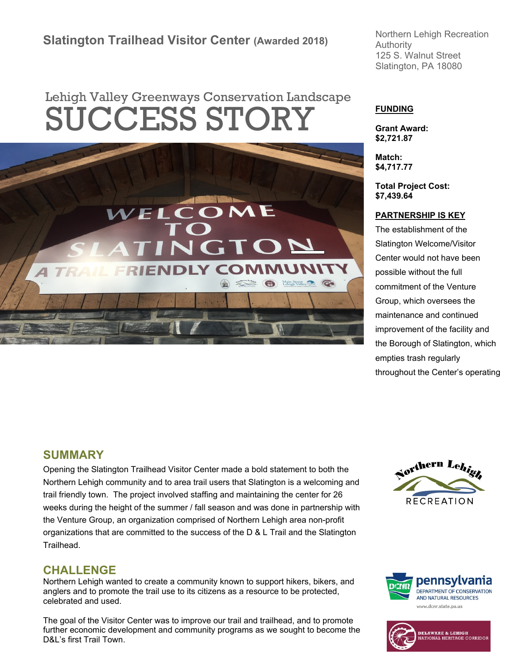# **Slatington Trailhead Visitor Center (Awarded 2018)**

# Lehigh Valley Greenways Conservation Landscape **SUCCESS STORY**



Northern Lehigh Recreation Authority 125 S. Walnut Street Slatington, PA 18080

#### **FUNDING**

**Grant Award: \$2,721.87**

**Match: \$4,717.77**

**Total Project Cost: \$7,439.64**

#### **PARTNERSHIP IS KEY**

The establishment of the Slatington Welcome/Visitor Center would not have been possible without the full commitment of the Venture Group, which oversees the maintenance and continued improvement of the facility and the Borough of Slatington, which empties trash regularly throughout the Center's operating

#### **SUMMARY**

Opening the Slatington Trailhead Visitor Center made a bold statement to both the Northern Lehigh community and to area trail users that Slatington is a welcoming and trail friendly town. The project involved staffing and maintaining the center for 26 weeks during the height of the summer / fall season and was done in partnership with the Venture Group, an organization comprised of Northern Lehigh area non-profit organizations that are committed to the success of the D & L Trail and the Slatington Trailhead.

#### **CHALLENGE**

Northern Lehigh wanted to create a community known to support hikers, bikers, and anglers and to promote the trail use to its citizens as a resource to be protected, celebrated and used.

The goal of the Visitor Center was to improve our trail and trailhead, and to promote further economic development and community programs as we sought to become the D&L's first Trail Town.